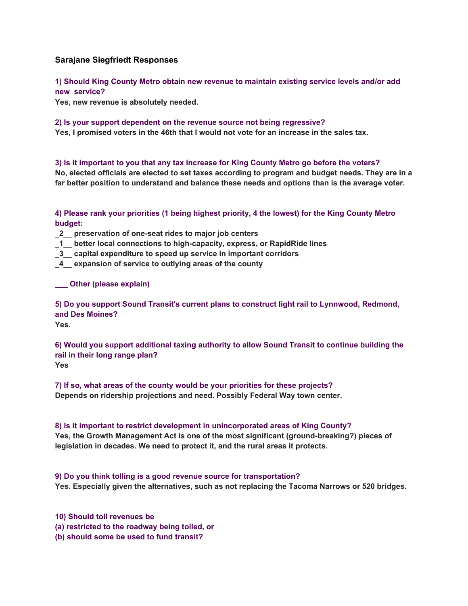## **Sarajane Siegfriedt Responses**

**1) Should King County Metro obtain new revenue to maintain existing service levels and/or add new service?**

**Yes, new revenue is absolutely needed.**

**2) Is your support dependent on the revenue source not being regressive?** 

**Yes, I promised voters in the 46th that I would not vote for an increase in the sales tax.**

**3) Is it important to you that any tax increase for King County Metro go before the voters? No, elected officials are elected to set taxes according to program and budget needs. They are in a far better position to understand and balance these needs and options than is the average voter.**

**4) Please rank your priorities (1 being highest priority, 4 the lowest) for the King County Metro budget:**

**\_2\_\_ preservation of one-seat rides to major job centers**

**\_1\_\_ better local connections to high-capacity, express, or RapidRide lines**

**\_3\_\_ capital expenditure to speed up service in important corridors**

**\_4\_\_ expansion of service to outlying areas of the county**

**\_\_\_ Other (please explain)**

**5) Do you support Sound Transit's current plans to construct light rail to Lynnwood, Redmond, and Des Moines? Yes.**

**6) Would you support additional taxing authority to allow Sound Transit to continue building the rail in their long range plan? Yes**

**7) If so, what areas of the county would be your priorities for these projects? Depends on ridership projections and need. Possibly Federal Way town center.**

## **8) Is it important to restrict development in unincorporated areas of King County?**

**Yes, the Growth Management Act is one of the most significant (ground-breaking?) pieces of legislation in decades. We need to protect it, and the rural areas it protects.**

## **9) Do you think tolling is a good revenue source for transportation?**

**Yes. Especially given the alternatives, such as not replacing the Tacoma Narrows or 520 bridges.**

**10) Should toll revenues be** 

**(a) restricted to the roadway being tolled, or** 

**(b) should some be used to fund transit?**